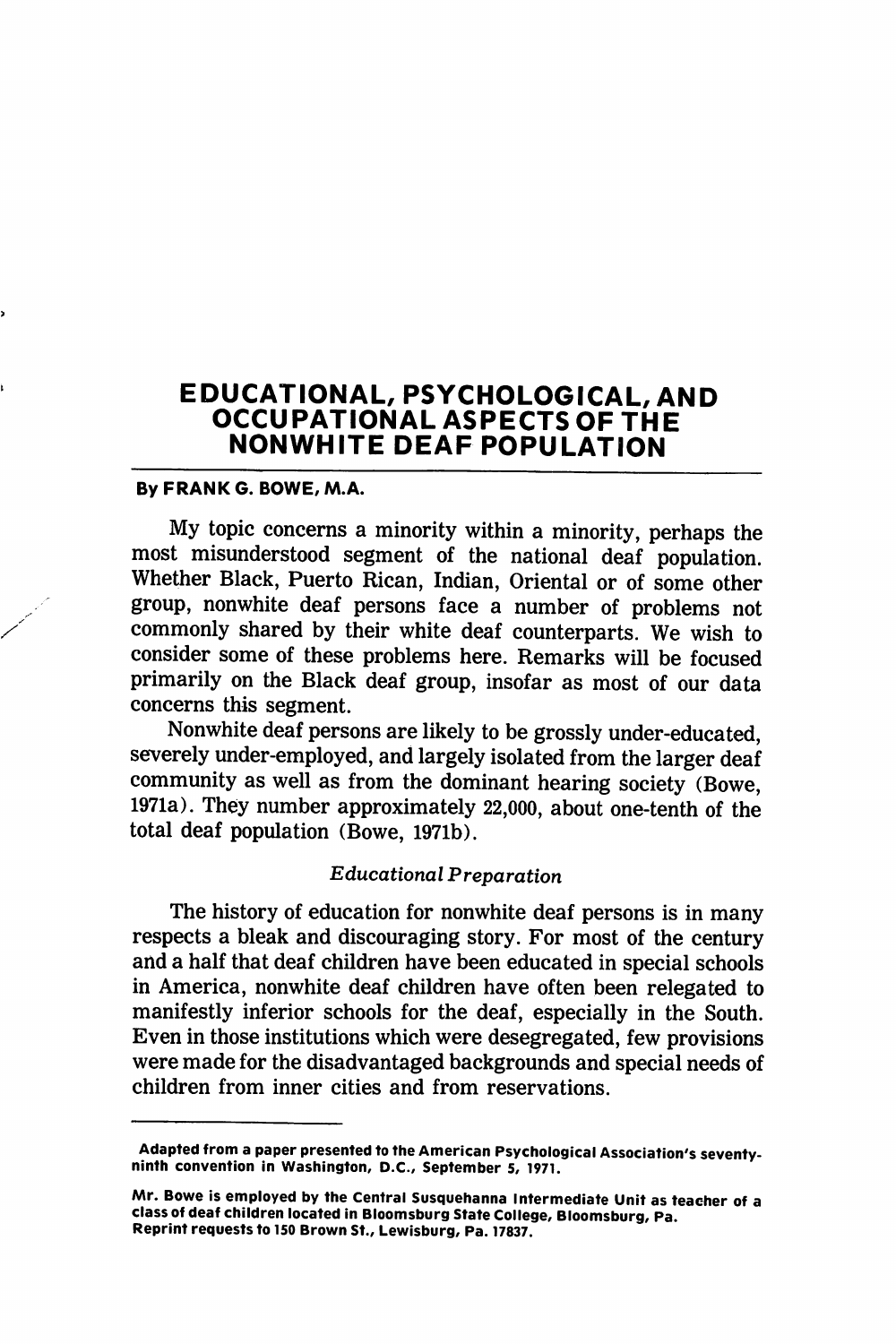# EDUCATIONAL, PSYCHOLOGICAL, AND OCCUPATIONAL ASPECTS OF THE NONWHITE DEAF POPULATION

### By FRANK G. BOWE, M.A.

My topic concerns a minority within a minority, perhaps the most misunderstood segment of the national deaf population. Whether Black, Puerto Rican, Indian, Oriental or of some other group, nonwhite deaf persons face a number of problems not commonly shared by their white deaf counterparts. We wish to consider some of these problems here. Remarks will be focused primarily on the Black deaf group, insofar as most of our data concerns this segment.

Nonwhite deaf persons are likely to be grossly under-educated, severely under-employed, and largely isolated from the larger deaf community as well as from the dominant hearing society (Bowe, 1971a). They number approximately 22,000, about one-tenth of the total deaf population (Bowe, 1971b).

### Educational Preparation

The history of education for nonwhite deaf persons is in many respects a bleak and discouraging story. For most of the century and a half that deaf children have been educated in special schools in America, nonwhite deaf children have often been relegated to manifestly inferior schools for the deaf, especially in the South. Even in those institutions which were desegregated, few provisions were made for the disadvantaged backgrounds and special needs of children from inner cities and from reservations.

Adapted from a paper presented to the American Psychological Association's seventyninth convention in Washington, D.C., September 5, 1971.

Mr. Bowe is employed by the Central Susquehanna Intermediate Unit as teacher of a class of deaf children located in Bloomsburg State College, Bloomsburg, Pa. Reprint requests to 150 Brown St., Lewisburg, Pa. 17837.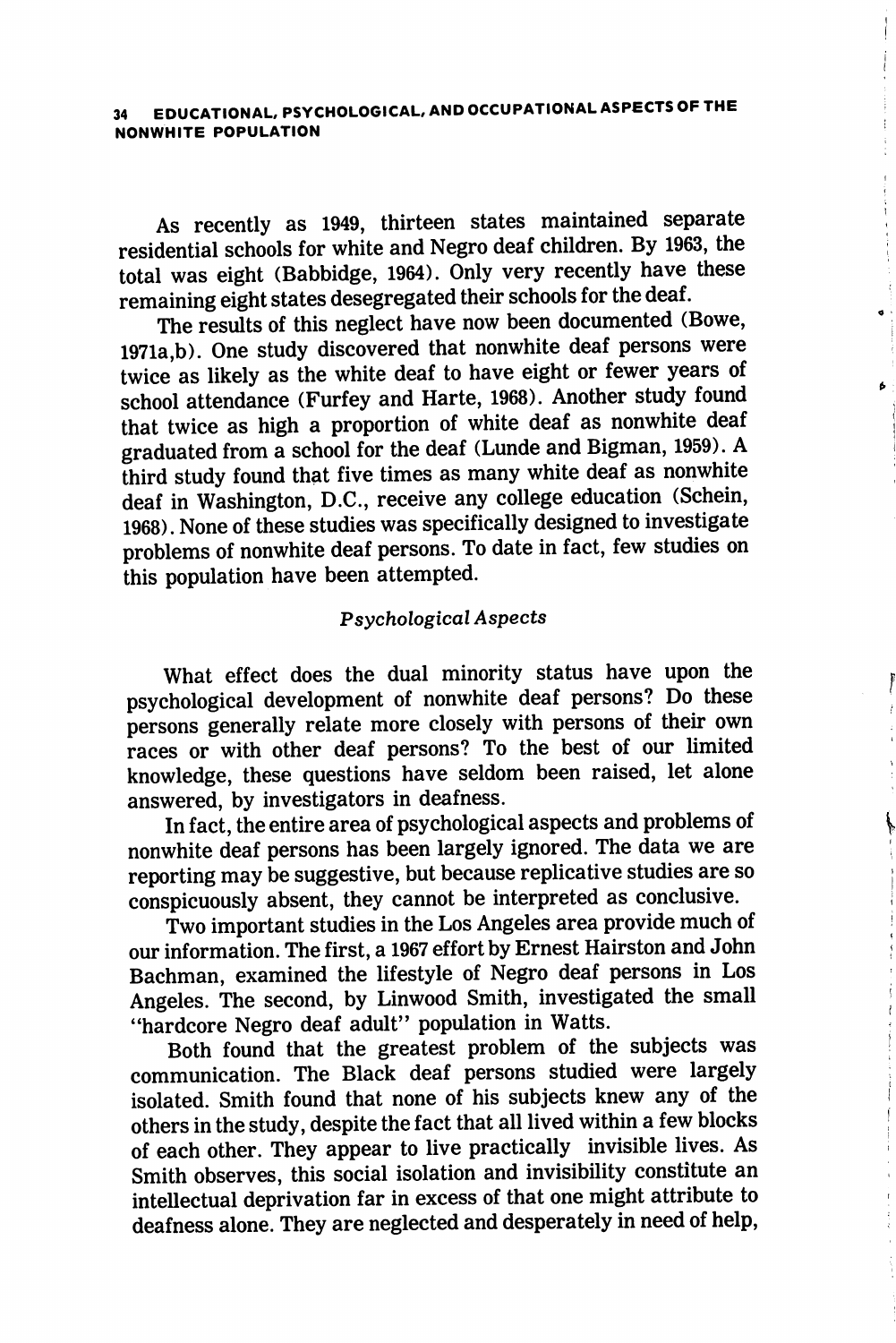As recently as 1949, thirteen states maintained separate residential schools for white and Negro deaf children. By 1963, the total was eight (Babbidge, 1964). Only very recently have these remaining eight states desegregated their schools for the deaf.

The results of this neglect have now been documented (Bowe, 1971a ,b). One study discovered that nonwhite deaf persons were twice as likely as the white deaf to have eight or fewer years of school attendance (Furfey and Harte, 1968). Another study found that twice as high a proportion of white deaf as nonwhite deaf graduated from a school for the deaf (Lunde and Bigman, 1959). A third study found that five times as many white deaf as nonwhite deaf in Washington, D.C., receive any college education (Schein, 1968). None of these studies was specifically designed to investigate problems of nonwhite deaf persons. To date in fact, few studies on this population have been attempted.

#### Psychological Aspects

What effect does the dual minority status have upon the psychological development of nonwhite deaf persons? Do these persons generally relate more closely with persons of their own races or with other deaf persons? To the best of our limited knowledge, these questions have seldom been raised, let alone answered, by investigators in deafness.

Ĭ

In fact, the entire area of psychological aspects and problems of nonwhite deaf persons has been largely ignored. The data we are reporting may be suggestive, but because replicative studies are so conspicuously absent, they cannot be interpreted as conclusive.

Two important studies in the Los Angeles area provide much of our information. The first, a 1967 effort by Ernest Hairston and John Bachman, examined the lifestyle of Negro deaf persons in Los Angeles. The second, by Linwood Smith, investigated the small "hardcore Negro deaf adult" population in Watts.

Both found that the greatest problem of the subjects was communication. The Black deaf persons studied were largely isolated. Smith found that none of his subjects knew any of the others in the study, despite the fact that all lived within a few blocks of each other. They appear to live practically invisible lives. As Smith observes, this social isolation and invisibility constitute an intellectual deprivation far in excess of that one might attribute to deafness alone. They are neglected and desperately in need of help.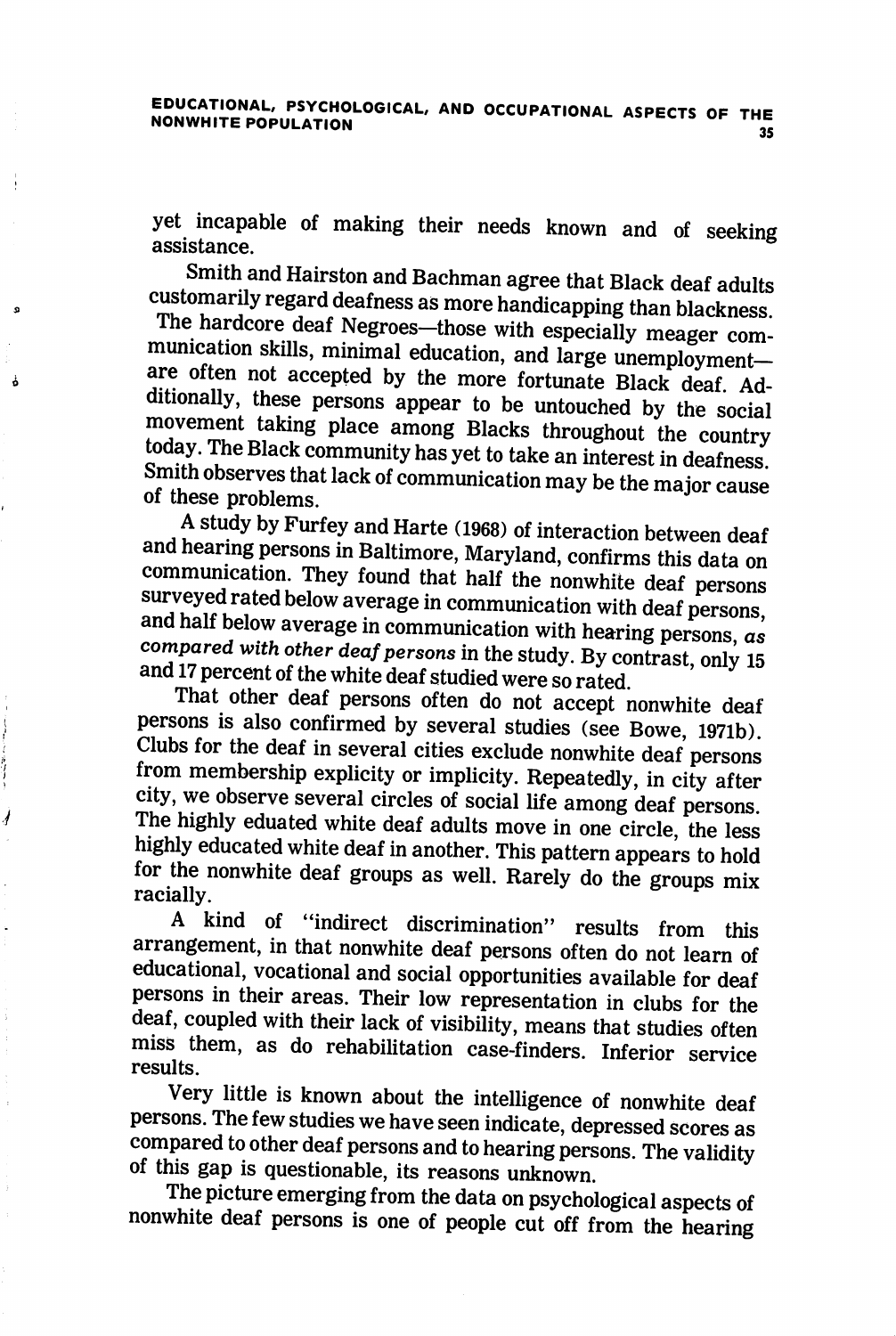yet incapable of making their needs known and of seeking assistance.

Smith and Hairston and Bachman agree that Black deaf adults customarily regard deafness as more handicapping than blackness.

The hardcore deaf Negroes—those with especially meager com munication skills, minimal education, and large unemployment are often not accepted by the more fortunate Black deaf. Additionally, these persons appear to be untouched by the social movement taking place among Blacks throughout the country today. The Black community has yet to take an interest in deafness Smith observes that lack of communication may be the major cause of these problems.

A study by Furfey and Harte (1968) of interaction between deaf and hearing persons in Baltimore, Maryland, confirms this data on communication. They found that half the nonwhite deaf persons surveyed rated below average in communication with deaf persons and half below average in communication with hearing persons,  $as$ compared with other deaf persons in the study. By contrast, only 15 and 17 percent of the white deaf studied were so rated.

That other deaf persons often do not accept nonwhite deaf persons is also confirmed by several studies (see Bowe, I97ib). Clubs for the deaf in several cities exclude nonwhite deaf persons from membership explicity or implicity. Repeatedly, in city after city, we observe several circles of social life among deaf persons. The highly eduated white deaf adults move in one circle, the less highly educated white deaf in another. This pattern appears to hold for the nonwhite deaf groups as well. Rarely do the groups mix racially.

1

A kind of "indirect discrimination" results from this arrangement, in that nonwhite deaf persons often do not learn of educational, vocational and social opportunities available for deaf persons in their areas. Their low representation in clubs for the deaf, coupled with their lack of visibility, means that studies often miss them, as do rehabilitation case-finders. Inferior service results.

Very little is known about the intelligence of nonwhite deaf persons. The few studies we have seen indicate, depressed scores as compared to other deaf persons and to hearing persons. The validity of this gap is questionable, its reasons unknown.

The picture emerging from the data on psychological aspects of nonwhite deaf persons is one of people cut off from the hearing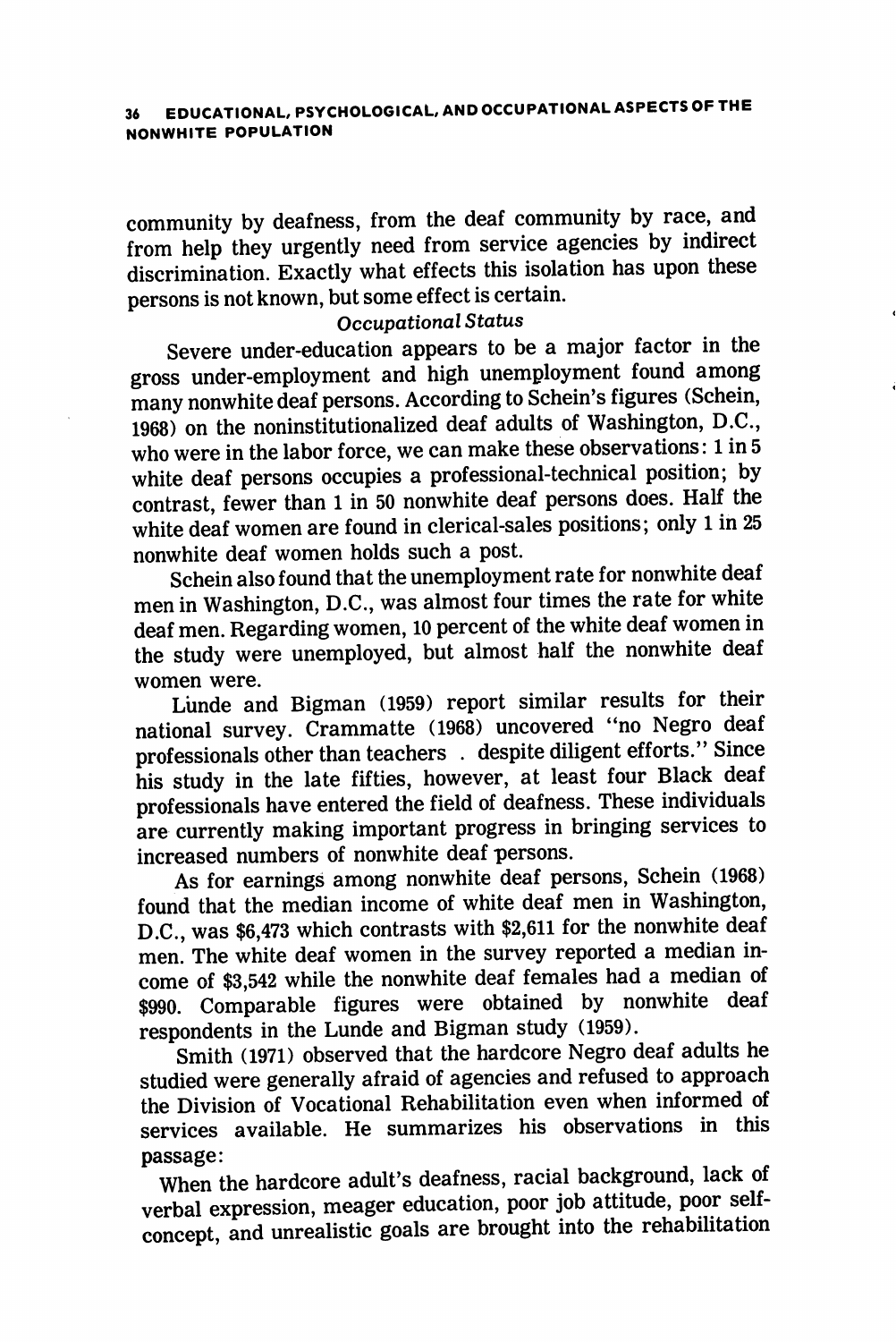community by deafness, from the deaf community by race, and from help they urgently need from service agencies by indirect discrimination. Exactly what effects this isolation has upon these persons is not known, but some effect is certain.

### Occupational Status

Severe under-education appears to be a major factor in the gross under-employment and high unemployment found among many nonwhite deaf persons. According to Schein's figures (Schein, 1968) on the noninstitutionalized deaf adults of Washington, D.C., who were in the labor force, we can make these observations: 1 in 5 white deaf persons occupies a professional-technical position; by contrast, fewer than 1 in 50 nonwhite deaf persons does. Half the white deaf women are found in clerical-sales positions; only 1 in 25 nonwhite deaf women holds such a post.

Schein also found that the unemployment rate for nonwhite deaf men in Washington, D.C., was almost four times the rate for white deaf men. Regarding women, 10 percent of the white deaf women in the study were unemployed, but almost half the nonwhite deaf women were.

Lunde and Bigman (1959) report similar results for their national survey. Crammatte (1968) uncovered "no Negro deaf professionals other than teachers . despite diligent efforts." Since his study in the late fifties, however, at least four Black deaf professionals have entered the field of deafness. These individuals are currently making important progress in bringing services to increased numbers of nonwhite deaf persons.

As for earnings among nonwhite deaf persons, Schein (1968) found that the median income of white deaf men in Washington, D.C., was \$6,473 which contrasts with \$2,611 for the nonwhite deaf men. The white deaf women in the survey reported a median in come of \$3,542 while the nonwhite deaf females had a median of \$990. Comparable figures were obtained by nonwhite deaf respondents in the Lunde and Bigman study (1959).

Smith (1971) observed that the hardcore Negro deaf adults he studied were generally afraid of agencies and refused to approach the Division of Vocational Rehabilitation even when informed of services available. He summarizes his observations in this passage:

When the hardcore adult's deafness, racial background, lack of verbal expression, meager education, poor job attitude, poor selfconcept, and unrealistic goals are brought into the rehabilitation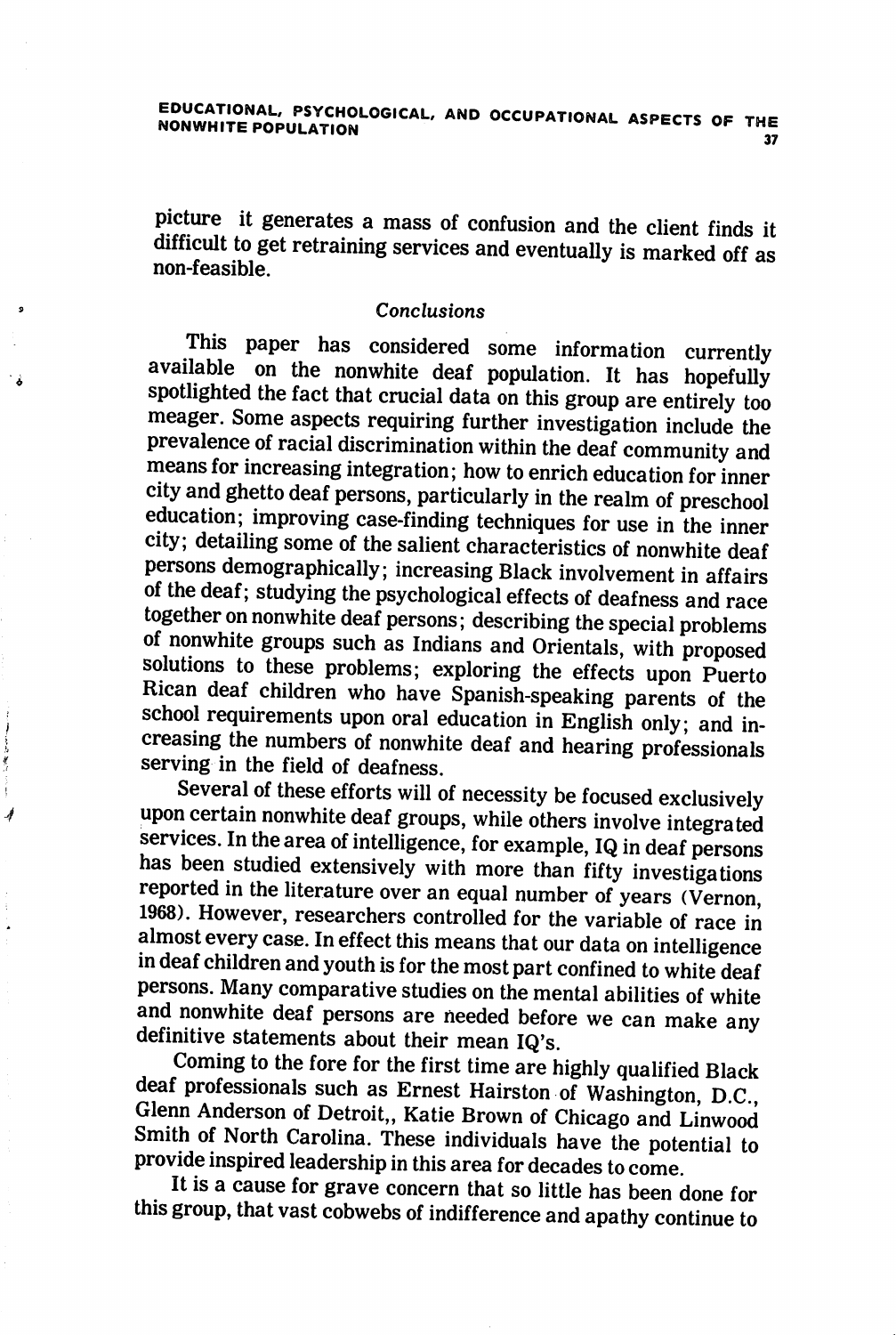picture it generates a mass of confusion and the client finds it difficult to get retraining services and eventually is marked off as non-feasible.

### Conclusions

This paper has considered some information currently available on the nonwhite deaf population. It has hopefully spotlighted the fact that crucial data on this group are entirely too meager. Some aspects requiring further investigation include the prevalence of racial discrimination within the deaf community and means for increasing integration; how to enrich education for inner city and ghetto deaf persons, particularly in the realm of preschool education; improving case-finding techniques for use in the inner city; detailing some of the salient characteristics of nonwhite deaf persons demographically; increasing Black involvement in affairs of the deaf; studying the psychological effects of deafness and race together on nonwhite deaf persons; describing the special problems of nonwhite groups such as Indians and Orientals, with proposed solutions to these problems; exploring the effects upon Puerto Rican deaf children who have Spanish-speaking parents of the school requirements upon oral education in English only; and in creasing the numbers of nonwhite deaf and hearing professionals serving in the field of deafness.

Several of these efforts will of necessity be focused exclusively upon certain nonwhite deaf groups, while others involve integrated services. In the area of intelligence, for example, IQ in deaf persons has been studied extensively with more than fifty investigations reported in the literature over an equal number of years (Vernon, 1968). However, researchers controlled for the variable of race in almost every case. In effect this means that our data on intelligence in deaf children and youth is for the most part confined to white deaf persons. Many comparative studies on the mental abilities of white and nonwhite deaf persons are needed before we can make any definitive statements about their mean IQ's.

Ĵ

4

Coming to the fore for the first time are highly qualified Black deaf professionals such as Ernest Hairston of Washington, D.C., Glenn Anderson of Detroit,, Katie Brown of Chicago and Linwood Smith of North Carolina. These individuals have the potential to provide inspired leadership in this area for decades to come.

It is a cause for grave concern that so little has been done for this group, that vast cobwebs of indifference and apathy continue to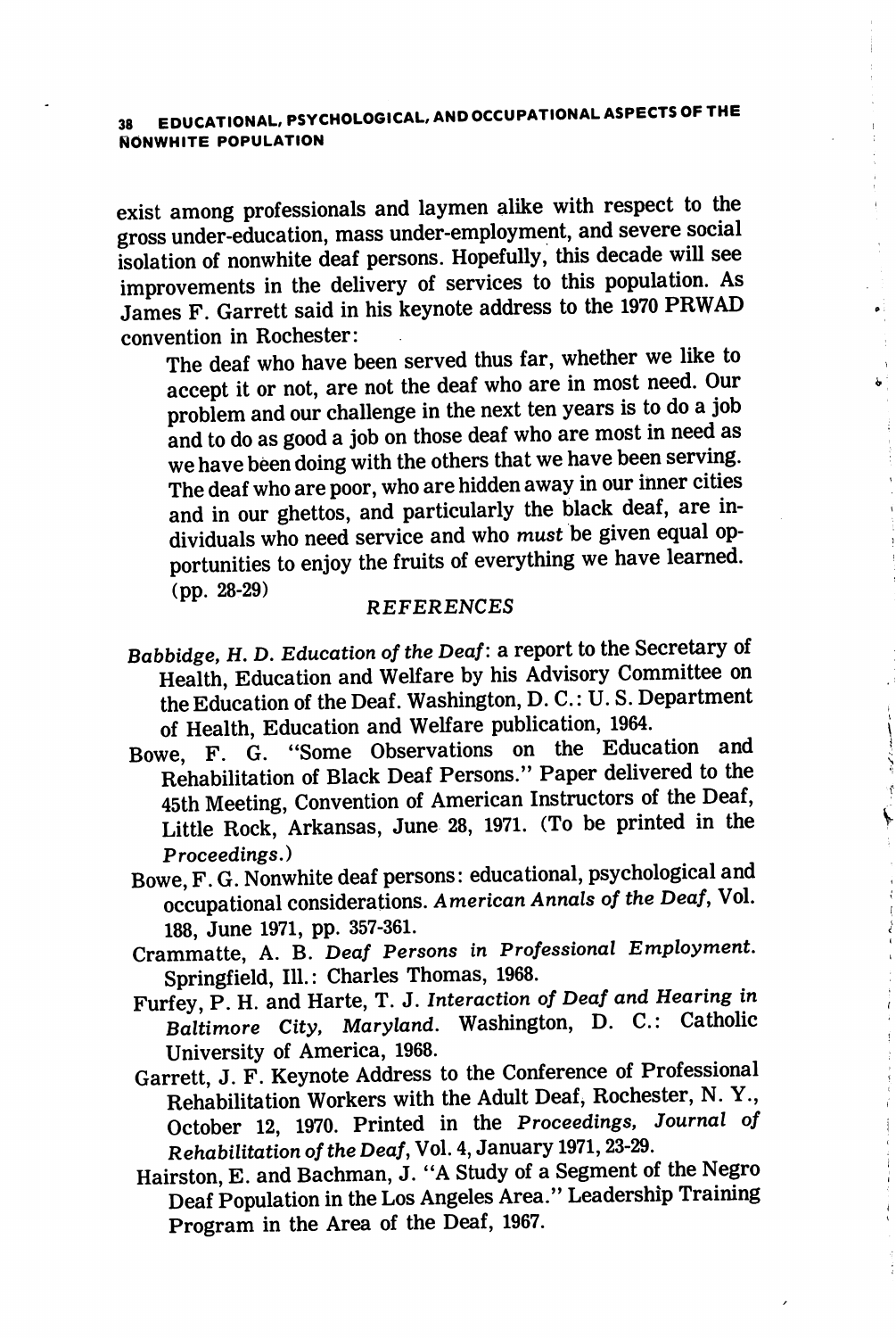## 38 EDUCATIONAL, PSYCHOLOGICAL, AND OCCUPATIONAL ASPECTS OF THE NONWHITE POPULATION

exist among professionals and laymen alike with respect to the gross under-education, mass under-employment, and severe social isolation of nonwhite deaf persons. Hopefully, this decade will see improvements in the delivery of services to this population. As James F. Garrett said in his keynote address to the 1970 PRWAD convention in Rochester:

The deaf who have been served thus far, whether we like to accept it or not, are not the deaf who are in most need. Our problem and our challenge in the next ten years is to do a job and to do as good a job on those deaf who are most in need as we have been doing with the others that we have been serving. The deaf who are poor, who are hidden away in our inner cities and in our ghettos, and particularly the black deaf, are in dividuals who need service and who must be given equal op portunities to enjoy the fruits of everything we have learned. (pp. 28-29)

### **REFERENCES**

Babbidge, H. D. Education of the Deaf: a report to the Secretary of Health, Education and Welfare by his Advisory Committee on the Education of the Deaf. Washington, D. C.: U.S. Department of Health, Education and Welfare publication, 1964.

 $\overline{\phantom{a}}$ 

- Bowe, F. G. "Some Observations on the Education and Rehabilitation of Black Deaf Persons." Paper delivered to the 45th Meeting, Convention of American Instructors of the Deaf, Little Rock, Arkansas, June 28, 1971. (To be printed in the Proceedings.)
- Bowe, F. G. Nonwhite deaf persons: educational, psychological and occupational considerations. American Annals of the Deaf, Vol. 188, June 1971, pp. 357-361.
- Crammatte, A. B. Deaf Persons in Professional Employment. Springfield, 111.: Charles Thomas, 1968.
- Furfey, P. H. and Harte, T. J. Interaction of Deaf and Hearing in Baltimore City, Maryland. Washington, D. C.: Catholic University of America, 1968.
- Garrett, J. F. Keynote Address to the Conference of Professional Rehabilitation Workers with the Adult Deaf, Rochester, N. Y., October 12, 1970. Printed in the Proceedings, Journal of Rehabilitation of the Deaf, Vol. 4, January 1971,23-29.
- Hairston, E. and Bachman, J. "A Study of a Segment of the Negro Deaf Population in the Los Angeles Area." Leadership Training Program in the Area of the Deaf, 1967.